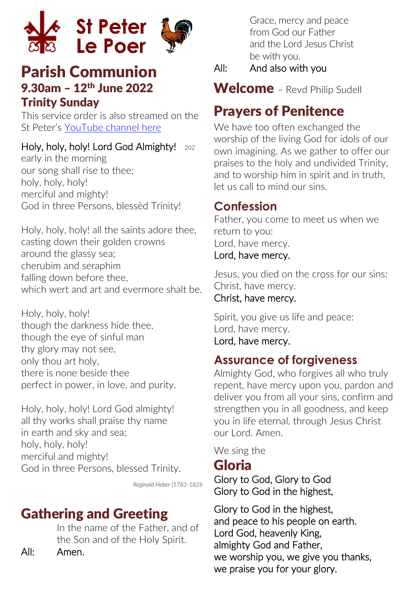



## Parish Communion 9.30am – 12th June 2022 Trinity Sunday

This service order is also streamed on the St Peter's [YouTube channel here](https://www.youtube.com/channel/UC6UIg8_l7nZgnqxFmrjSWYA)

### Holy, holy, holy! Lord God Almighty! <sup>202</sup>

early in the morning our song shall rise to thee; holy, holy, holy! merciful and mighty! God in three Persons, blessèd Trinity!

Holy, holy, holy! all the saints adore thee, casting down their golden crowns around the glassy sea; cherubim and seraphim falling down before thee, which wert and art and evermore shalt be.

Holy, holy, holy! though the darkness hide thee, though the eye of sinful man thy glory may not see, only thou art holy, there is none beside thee perfect in power, in love, and purity.

Holy, holy, holy! Lord God almighty! all thy works shall praise thy name in earth and sky and sea; holy, holy, holy! merciful and mighty! God in three Persons, blessed Trinity.

*Reginald Heber (1783-1826*

## Gathering and Greeting

In the name of the Father, and of the Son and of the Holy Spirit.

All: Amen.

Grace, mercy and peace from God our Father and the Lord Jesus Christ be with you.

### All: And also with you

Welcome - Revd Philip Sudell

# Prayers of Penitence

We have too often exchanged the worship of the living God for idols of our own imagining. As we gather to offer our praises to the holy and undivided Trinity, and to worship him in spirit and in truth, let us call to mind our sins.

## **Confession**

Father, you come to meet us when we return to you: Lord, have mercy. Lord, have mercy.

Jesus, you died on the cross for our sins: Christ, have mercy.

#### Christ, have mercy.

Spirit, you give us life and peace: Lord, have mercy. Lord, have mercy.

### **Assurance of forgiveness**

Almighty God, who forgives all who truly repent, have mercy upon you, pardon and deliver you from all your sins, confirm and strengthen you in all goodness, and keep you in life eternal, through Jesus Christ our Lord. Amen.

We sing the

### Gloria

Glory to God, Glory to God Glory to God in the highest,

Glory to God in the highest, and peace to his people on earth. Lord God, heavenly King, almighty God and Father, we worship you, we give you thanks, we praise you for your glory.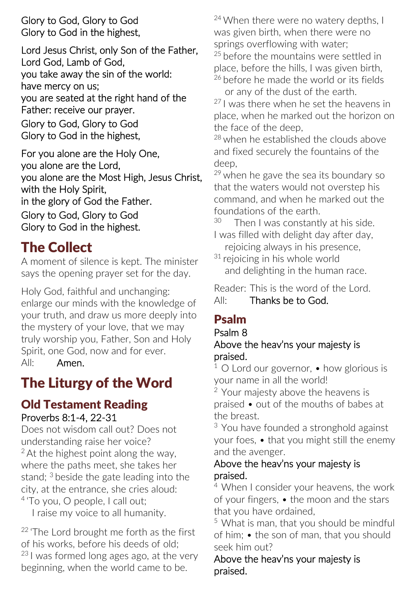Glory to God, Glory to God Glory to God in the highest,

Lord Jesus Christ, only Son of the Father, Lord God, Lamb of God, you take away the sin of the world: have mercy on us; you are seated at the right hand of the Father: receive our prayer. Glory to God, Glory to God

Glory to God in the highest,

For you alone are the Holy One, you alone are the Lord, you alone are the Most High, Jesus Christ, with the Holy Spirit, in the glory of God the Father. Glory to God, Glory to God Glory to God in the highest.

## The Collect

A moment of silence is kept. The minister says the opening prayer set for the day.

Holy God, faithful and unchanging: enlarge our minds with the knowledge of your truth, and draw us more deeply into the mystery of your love, that we may truly worship you, Father, Son and Holy Spirit, one God, now and for ever. All: Amen.

# The Liturgy of the Word

### Old Testament Reading Proverbs 8:1-4, 22-31

Does not wisdom call out? Does not understanding raise her voice?  $2$  At the highest point along the way, where the paths meet, she takes her stand; <sup>3</sup> beside the gate leading into the city, at the entrance, she cries aloud: <sup>4</sup> 'To you, O people, I call out;

I raise my voice to all humanity.

 $22$  'The Lord brought me forth as the first of his works, before his deeds of old;  $23$  I was formed long ages ago, at the very beginning, when the world came to be.

<sup>24</sup> When there were no watery depths, I was given birth, when there were no springs overflowing with water;

<sup>25</sup> before the mountains were settled in place, before the hills, I was given birth,

<sup>26</sup> before he made the world or its fields or any of the dust of the earth.

 $27$  I was there when he set the heavens in place, when he marked out the horizon on the face of the deep,

<sup>28</sup> when he established the clouds above and fixed securely the fountains of the deep,

 $29$  when he gave the sea its boundary so that the waters would not overstep his command, and when he marked out the foundations of the earth.

30 Then I was constantly at his side. I was filled with delight day after day,

rejoicing always in his presence,

<sup>31</sup> rejoicing in his whole world and delighting in the human race.

Reader: This is the word of the Lord. All: Thanks be to God.

## Psalm

Psalm 8

#### Above the heav'ns your majesty is praised.

 $1$  O Lord our governor,  $\bullet$  how glorious is your name in all the world!

<sup>2</sup>Your majesty above the heavens is praised • out of the mouths of babes at the breast.

<sup>3</sup> You have founded a stronghold against your foes, • that you might still the enemy and the avenger.

#### Above the heav'ns your majesty is praised.

<sup>4</sup> When I consider your heavens, the work of your fingers, • the moon and the stars that you have ordained,

<sup>5</sup> What is man, that you should be mindful of him; • the son of man, that you should seek him out?

Above the heav'ns your majesty is praised.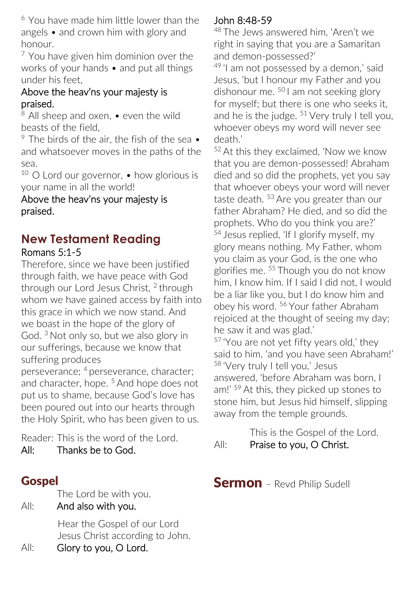<sup>6</sup>You have made him little lower than the angels • and crown him with glory and honour.

<sup>7</sup> You have given him dominion over the works of your hands • and put all things under his feet,

#### Above the heav'ns your majesty is praised.

 $8$  All sheep and oxen,  $\bullet$  even the wild beasts of the field,

 $9$  The birds of the air, the fish of the sea  $\bullet$ and whatsoever moves in the paths of the sea.

 $10$  O Lord our governor,  $\bullet$  how glorious is your name in all the world!

#### Above the heav'ns your majesty is praised.

#### **New Testament Reading** Romans 5:1-5

Therefore, since we have been justified through faith, we have peace with God through our Lord Jesus Christ, <sup>2</sup> through whom we have gained access by faith into this grace in which we now stand. And we boast in the hope of the glory of God. <sup>3</sup> Not only so, but we also glory in our sufferings, because we know that suffering produces

perseverance; <sup>4</sup> perseverance, character; and character, hope. <sup>5</sup> And hope does not put us to shame, because God's love has been poured out into our hearts through the Holy Spirit, who has been given to us.

Reader: This is the word of the Lord.

All: Thanks be to God.

## Gospel

The Lord be with you.

All: And also with you.

Hear the Gospel of our Lord Jesus Christ according to John.

All: Glory to you, O Lord.

### John 8:48-59

<sup>48</sup> The Jews answered him, 'Aren't we right in saying that you are a Samaritan and demon-possessed?'

<sup>49</sup> 'I am not possessed by a demon,' said Jesus, 'but I honour my Father and you dishonour me. <sup>50</sup> I am not seeking glory for myself; but there is one who seeks it, and he is the judge. <sup>51</sup> Very truly I tell you. whoever obeys my word will never see death.'

<sup>52</sup> At this they exclaimed, 'Now we know that you are demon-possessed! Abraham died and so did the prophets, yet you say that whoever obeys your word will never taste death. <sup>53</sup> Are you greater than our father Abraham? He died, and so did the prophets. Who do you think you are?' <sup>54</sup> Jesus replied, 'If I glorify myself, my glory means nothing. My Father, whom you claim as your God, is the one who glorifies me. <sup>55</sup> Though you do not know him, I know him. If I said I did not, I would be a liar like you, but I do know him and obey his word. <sup>56</sup> Your father Abraham rejoiced at the thought of seeing my day; he saw it and was glad.' <sup>57</sup> 'You are not yet fifty years old,' they said to him, 'and you have seen Abraham!' <sup>58</sup> 'Very truly I tell you,' Jesus answered, 'before Abraham was born, I

am!' <sup>59</sup> At this, they picked up stones to stone him, but Jesus hid himself, slipping away from the temple grounds.

This is the Gospel of the Lord. All: Praise to you, O Christ.

**Sermon** - Revd Philip Sudell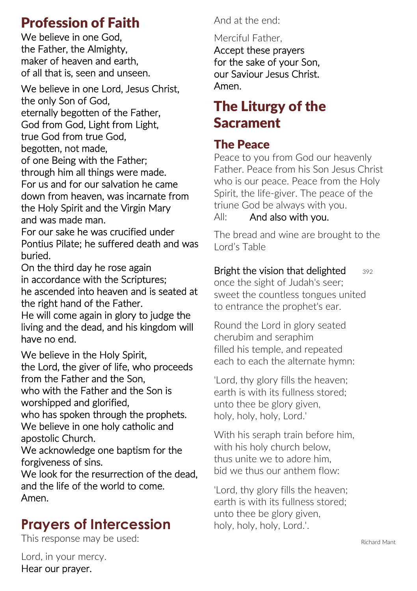## Profession of Faith

We believe in one God. the Father, the Almighty, maker of heaven and earth, of all that is, seen and unseen.

We believe in one Lord, Jesus Christ, the only Son of God, eternally begotten of the Father, God from God, Light from Light, true God from true God, begotten, not made, of one Being with the Father; through him all things were made. For us and for our salvation he came down from heaven, was incarnate from the Holy Spirit and the Virgin Mary and was made man.

For our sake he was crucified under Pontius Pilate; he suffered death and was buried.

On the third day he rose again in accordance with the Scriptures; he ascended into heaven and is seated at the right hand of the Father.

He will come again in glory to judge the living and the dead, and his kingdom will have no end.

We believe in the Holy Spirit, the Lord, the giver of life, who proceeds from the Father and the Son, who with the Father and the Son is worshipped and glorified, who has spoken through the prophets. We believe in one holy catholic and apostolic Church.

We acknowledge one baptism for the forgiveness of sins.

We look for the resurrection of the dead, and the life of the world to come. Amen.

# **Prayers of Intercession**

This response may be used:

Lord, in your mercy. Hear our prayer.

And at the end:

### Merciful Father,

Accept these prayers for the sake of your Son, our Saviour Jesus Christ. Amen.

## The Liturgy of the Sacrament

### The Peace

Peace to you from God our heavenly Father. Peace from his Son Jesus Christ who is our peace. Peace from the Holy Spirit, the life-giver. The peace of the triune God be always with you.

#### All: And also with you.

The bread and wine are brought to the Lord's Table

### Bright the vision that delighted  $392$

once the sight of Judah's seer; sweet the countless tongues united to entrance the prophet's ear.

Round the Lord in glory seated cherubim and seraphim filled his temple, and repeated each to each the alternate hymn:

'Lord, thy glory fills the heaven; earth is with its fullness stored; unto thee be glory given, holy, holy, holy, Lord.'

With his seraph train before him, with his holy church below thus unite we to adore him, bid we thus our anthem flow:

'Lord, thy glory fills the heaven; earth is with its fullness stored; unto thee be glory given, holy, holy, holy, Lord.'.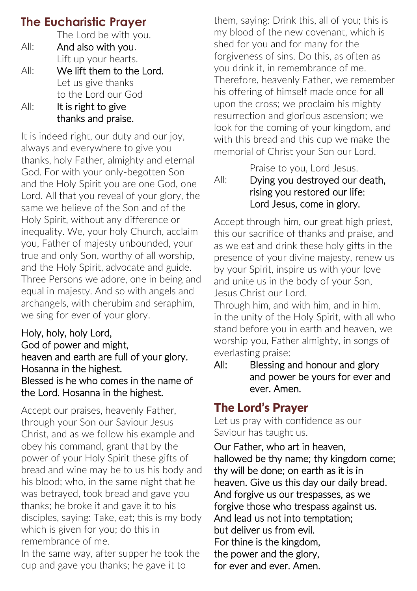## **The Eucharistic Prayer**

The Lord be with you. All: And also with you. Lift up your hearts. All: We lift them to the Lord. Let us give thanks to the Lord our God

#### All: It is right to give thanks and praise.

It is indeed right, our duty and our joy, always and everywhere to give you thanks, holy Father, almighty and eternal God. For with your only-begotten Son and the Holy Spirit you are one God, one Lord. All that you reveal of your glory, the same we believe of the Son and of the Holy Spirit, without any difference or inequality. We, your holy Church, acclaim you, Father of majesty unbounded, your true and only Son, worthy of all worship, and the Holy Spirit, advocate and guide. Three Persons we adore, one in being and equal in majesty. And so with angels and archangels, with cherubim and seraphim, we sing for ever of your glory.

#### Holy, holy, holy Lord, God of power and might, heaven and earth are full of your glory. Hosanna in the highest. Blessed is he who comes in the name of the Lord. Hosanna in the highest.

Accept our praises, heavenly Father, through your Son our Saviour Jesus Christ, and as we follow his example and obey his command, grant that by the power of your Holy Spirit these gifts of bread and wine may be to us his body and his blood; who, in the same night that he was betrayed, took bread and gave you thanks; he broke it and gave it to his disciples, saying: Take, eat; this is my body which is given for you; do this in remembrance of me.

In the same way, after supper he took the cup and gave you thanks; he gave it to

them, saying: Drink this, all of you; this is my blood of the new covenant, which is shed for you and for many for the forgiveness of sins. Do this, as often as you drink it, in remembrance of me. Therefore, heavenly Father, we remember his offering of himself made once for all upon the cross; we proclaim his mighty resurrection and glorious ascension; we look for the coming of your kingdom, and with this bread and this cup we make the memorial of Christ your Son our Lord.

Praise to you, Lord Jesus.

All: Dving you destroved our death. rising you restored our life: Lord Jesus, come in glory.

Accept through him, our great high priest, this our sacrifice of thanks and praise, and as we eat and drink these holy gifts in the presence of your divine majesty, renew us by your Spirit, inspire us with your love and unite us in the body of your Son, Jesus Christ our Lord.

Through him, and with him, and in him, in the unity of the Holy Spirit, with all who stand before you in earth and heaven, we worship you, Father almighty, in songs of everlasting praise:

All: Blessing and honour and glory and power be yours for ever and ever. Amen.

## The Lord's Prayer

Let us pray with confidence as our Saviour has taught us.

Our Father, who art in heaven, hallowed be thy name; thy kingdom come; thy will be done; on earth as it is in heaven. Give us this day our daily bread. And forgive us our trespasses, as we forgive those who trespass against us. And lead us not into temptation; but deliver us from evil. For thine is the kingdom, the power and the glory, for ever and ever. Amen.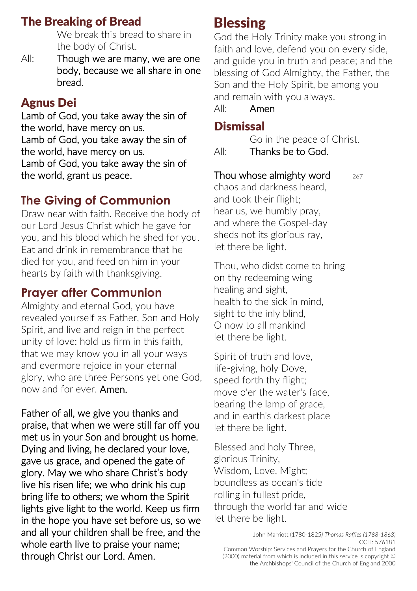## The Breaking of Bread

We break this bread to share in the body of Christ.

All: Though we are many, we are one body, because we all share in one bread.

## Agnus Dei

Lamb of God, you take away the sin of the world, have mercy on us. Lamb of God, you take away the sin of the world, have mercy on us. Lamb of God, you take away the sin of the world, grant us peace.

## **The Giving of Communion**

Draw near with faith. Receive the body of our Lord Jesus Christ which he gave for you, and his blood which he shed for you. Eat and drink in remembrance that he died for you, and feed on him in your hearts by faith with thanksgiving.

## **Prayer after Communion**

Almighty and eternal God, you have revealed yourself as Father, Son and Holy Spirit, and live and reign in the perfect unity of love: hold us firm in this faith, that we may know you in all your ways and evermore rejoice in your eternal glory, who are three Persons yet one God, now and for ever. Amen.

Father of all, we give you thanks and praise, that when we were still far off you met us in your Son and brought us home. Dying and living, he declared your love, gave us grace, and opened the gate of glory. May we who share Christ's body live his risen life; we who drink his cup bring life to others; we whom the Spirit lights give light to the world. Keep us firm in the hope you have set before us, so we and all your children shall be free, and the whole earth live to praise your name; through Christ our Lord. Amen.

## Blessing

God the Holy Trinity make you strong in faith and love, defend you on every side, and guide you in truth and peace; and the blessing of God Almighty, the Father, the Son and the Holy Spirit, be among you and remain with you always.

All: Amen

### **Dismissal**

Go in the peace of Christ.

```
All: Thanks be to God.
```
Thou whose almighty word  $_{267}$ 

chaos and darkness heard, and took their flight; hear us, we humbly pray, and where the Gospel-day sheds not its glorious ray, let there be light.

Thou, who didst come to bring on thy redeeming wing healing and sight, health to the sick in mind, sight to the inly blind, O now to all mankind let there be light.

Spirit of truth and love, life-giving, holy Dove, speed forth thy flight; move o'er the water's face, bearing the lamp of grace, and in earth's darkest place let there be light.

Blessed and holy Three, glorious Trinity, Wisdom, Love, Might; boundless as ocean's tide rolling in fullest pride, through the world far and wide let there be light.

John Marriott (1780-1825*) Thomas Raffles (1788-1863)* CCLI: 576181 Common Worship: Services and Prayers for the Church of England

(2000) material from which is included in this service is copyright © the Archbishops' Council of the Church of England 2000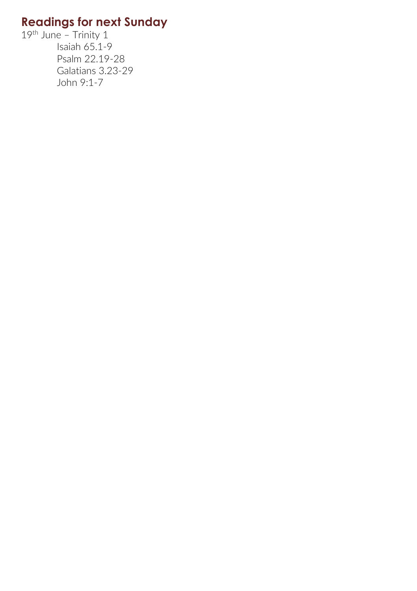### **Readings for next Sunday**

19<sup>th</sup> June - Trinity 1 Isaiah 65.1-9 Psalm 22.19-28 Galatians 3.23-29 John 9:1-7